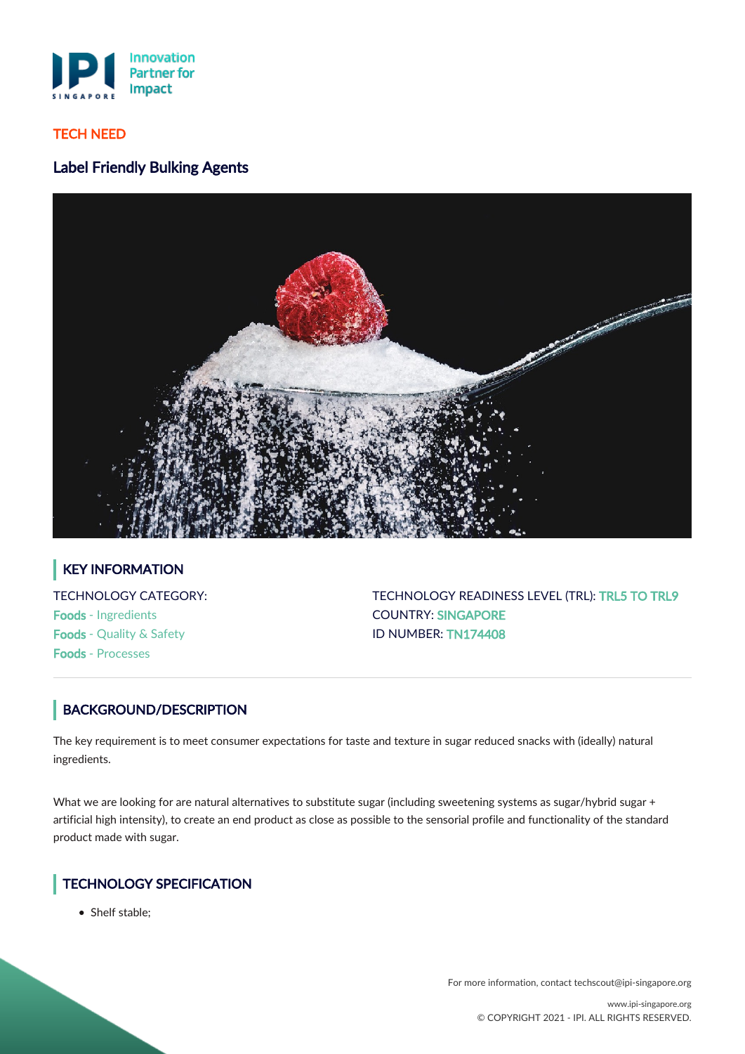

## TECH NEED

# Label Friendly Bulking Agents



# KEY INFORMATION

TECHNOLOGY CATEGORY: Foods - Ingredients Foods - Quality & Safety Foods - Processes

TECHNOLOGY READINESS LEVEL (TRL): TRL5 TO TRL9 COUNTRY: SINGAPORE ID NUMBER: TN174408

# BACKGROUND/DESCRIPTION

The key requirement is to meet consumer expectations for taste and texture in sugar reduced snacks with (ideally) natural ingredients.

What we are looking for are natural alternatives to substitute sugar (including sweetening systems as sugar/hybrid sugar + artificial high intensity), to create an end product as close as possible to the sensorial profile and functionality of the standard product made with sugar.

# TECHNOLOGY SPECIFICATION

• Shelf stable:

For more information, contact techscout@ipi-singapore.org